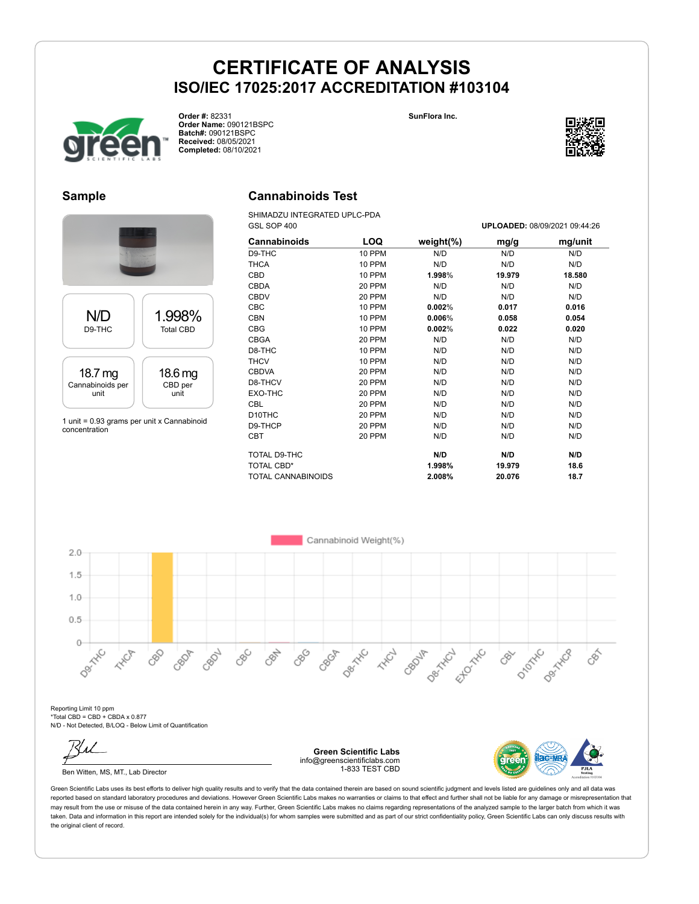



**Order #:** 82331 **Order Name:** 090121BSPC **Batch#:** 090121BSPC **Received:** 08/05/2021 **Completed:** 08/10/2021

#### **Sample**



concentration

### **Cannabinoids Test**

SHIMADZU INTEGRATED UPLC-PDA GSL SOP 400 **UPLOADED:** 08/09/2021 09:44:26

| <b>Cannabinoids</b> | LOQ    | weight $(\%)$ | mg/g   | mg/unit |
|---------------------|--------|---------------|--------|---------|
| D9-THC              | 10 PPM | N/D           | N/D    | N/D     |
| <b>THCA</b>         | 10 PPM | N/D           | N/D    | N/D     |
| CBD                 | 10 PPM | 1.998%        | 19.979 | 18.580  |
| <b>CBDA</b>         | 20 PPM | N/D           | N/D    | N/D     |
| <b>CBDV</b>         | 20 PPM | N/D           | N/D    | N/D     |
| CBC                 | 10 PPM | 0.002%        | 0.017  | 0.016   |
| <b>CBN</b>          | 10 PPM | 0.006%        | 0.058  | 0.054   |
| <b>CBG</b>          | 10 PPM | 0.002%        | 0.022  | 0.020   |
| <b>CBGA</b>         | 20 PPM | N/D           | N/D    | N/D     |
| D8-THC              | 10 PPM | N/D           | N/D    | N/D     |
| <b>THCV</b>         | 10 PPM | N/D           | N/D    | N/D     |
| <b>CBDVA</b>        | 20 PPM | N/D           | N/D    | N/D     |
| D8-THCV             | 20 PPM | N/D           | N/D    | N/D     |
| EXO-THC             | 20 PPM | N/D           | N/D    | N/D     |
| CBL                 | 20 PPM | N/D           | N/D    | N/D     |
| D10THC              | 20 PPM | N/D           | N/D    | N/D     |
| D9-THCP             | 20 PPM | N/D           | N/D    | N/D     |
| <b>CBT</b>          | 20 PPM | N/D           | N/D    | N/D     |
| TOTAL D9-THC        |        | N/D           | N/D    | N/D     |
| <b>TOTAL CBD*</b>   |        | 1.998%        | 19.979 | 18.6    |
| TOTAL CANNABINOIDS  |        | 2.008%        | 20.076 | 18.7    |



Reporting Limit 10 ppm \*Total CBD = CBD + CBDA x 0.877 N/D - Not Detected, B/LOQ - Below Limit of Quantification

Ben Witten, MS, MT., Lab Director

**Green Scientific Labs** info@greenscientificlabs.com 1-833 TEST CBD



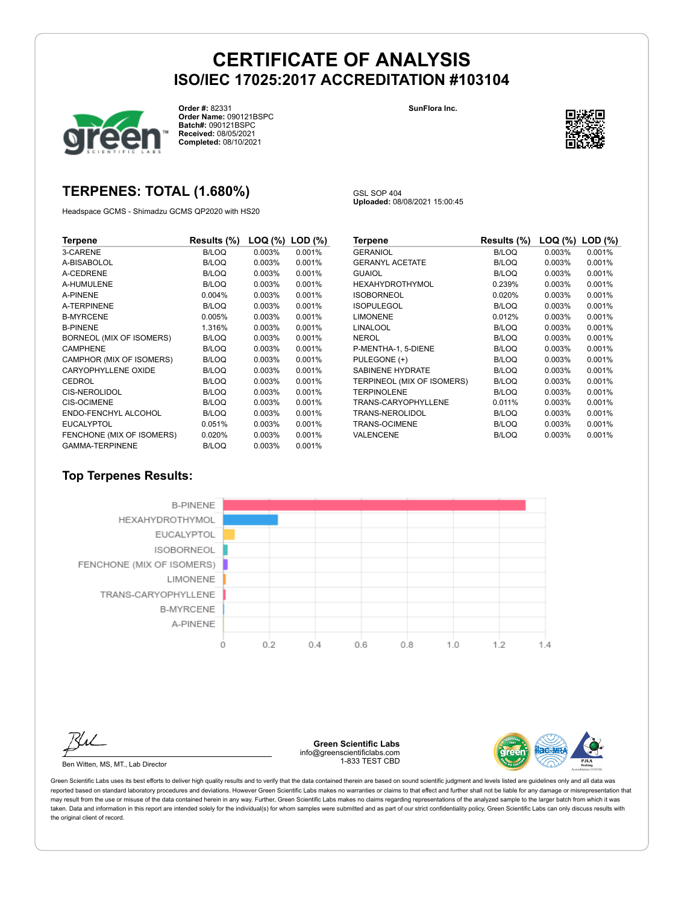

**Order #:** 82331 **Order Name:** 090121BSPC **Batch#:** 090121BSPC **Received:** 08/05/2021 **Completed:** 08/10/2021

#### **SunFlora Inc.**



### **TERPENES: TOTAL (1.680%)**

Headspace GCMS - Shimadzu GCMS QP2020 with HS20

GSL SOP 404 **Uploaded:** 08/08/2021 15:00:45

| Terpene                   | Results (%)  | LOQ (%)   | $LOD$ $(\%)$ |
|---------------------------|--------------|-----------|--------------|
| 3-CARENE                  | <b>B/LOQ</b> | 0.003%    | 0.001%       |
| A-BISABOLOL               | B/LOQ        | 0.003%    | 0.001%       |
| A-CEDRENE                 | B/LOQ        | 0.003%    | 0.001%       |
| A-HUMULENE                | B/LOQ        | 0.003%    | 0.001%       |
| <b>A-PINENE</b>           | 0.004%       | 0.003%    | 0.001%       |
| A-TERPINENE               | B/LOQ        | 0.003%    | 0.001%       |
| <b>B-MYRCENE</b>          | 0.005%       | 0.003%    | 0.001%       |
| <b>B-PINENE</b>           | 1.316%       | 0.003%    | 0.001%       |
| BORNEOL (MIX OF ISOMERS)  | <b>B/LOQ</b> | 0.003%    | 0.001%       |
| <b>CAMPHENE</b>           | B/LOQ        | 0.003%    | 0.001%       |
| CAMPHOR (MIX OF ISOMERS)  | <b>B/LOQ</b> | $0.003\%$ | 0.001%       |
| CARYOPHYLLENE OXIDE       | B/LOQ        | $0.003\%$ | 0.001%       |
| <b>CEDROL</b>             | B/LOQ        | 0.003%    | 0.001%       |
| <b>CIS-NEROLIDOL</b>      | B/LOQ        | 0.003%    | 0.001%       |
| <b>CIS-OCIMENE</b>        | B/LOQ        | 0.003%    | 0.001%       |
| ENDO-FENCHYL ALCOHOL      | B/LOQ        | 0.003%    | 0.001%       |
| <b>EUCALYPTOL</b>         | 0.051%       | $0.003\%$ | 0.001%       |
| FENCHONE (MIX OF ISOMERS) | 0.020%       | 0.003%    | 0.001%       |
| <b>GAMMA-TERPINENE</b>    | <b>B/LOQ</b> | 0.003%    | 0.001%       |

| Terpene                    | Results (%)  | $LOQ$ $(\%)$ | $LOD$ $(\%)$ |
|----------------------------|--------------|--------------|--------------|
| <b>GERANIOL</b>            | <b>B/LOQ</b> | 0.003%       | 0.001%       |
| <b>GERANYL ACETATE</b>     | B/LOQ        | 0.003%       | 0.001%       |
| <b>GUAIOL</b>              | B/LOQ        | 0.003%       | 0.001%       |
| <b>HEXAHYDROTHYMOL</b>     | 0.239%       | 0.003%       | 0.001%       |
| <b>ISOBORNEOL</b>          | 0.020%       | 0.003%       | 0.001%       |
| <b>ISOPULEGOL</b>          | B/LOQ        | 0.003%       | 0.001%       |
| <b>LIMONENE</b>            | 0.012%       | 0.003%       | 0.001%       |
| <b>LINALOOL</b>            | <b>B/LOQ</b> | 0.003%       | 0.001%       |
| <b>NEROL</b>               | <b>B/LOQ</b> | 0.003%       | 0.001%       |
| P-MENTHA-1, 5-DIENE        | B/LOQ        | 0.003%       | 0.001%       |
| PULEGONE (+)               | B/LOQ        | 0.003%       | 0.001%       |
| <b>SABINENE HYDRATE</b>    | B/LOQ        | 0.003%       | 0.001%       |
| TERPINEOL (MIX OF ISOMERS) | B/LOQ        | 0.003%       | 0.001%       |
| <b>TERPINOLENE</b>         | <b>B/LOQ</b> | 0.003%       | 0.001%       |
| TRANS-CARYOPHYLLENE        | 0.011%       | 0.003%       | 0.001%       |
| TRANS-NEROLIDOL            | B/LOQ        | 0.003%       | 0.001%       |
| <b>TRANS-OCIMENE</b>       | <b>B/LOQ</b> | 0.003%       | 0.001%       |
| VALENCENE                  | B/LOQ        | 0.003%       | 0.001%       |

### **Top Terpenes Results:**



Ben Witten, MS, MT., Lab Director

**Green Scientific Labs** info@greenscientificlabs.com 1-833 TEST CBD

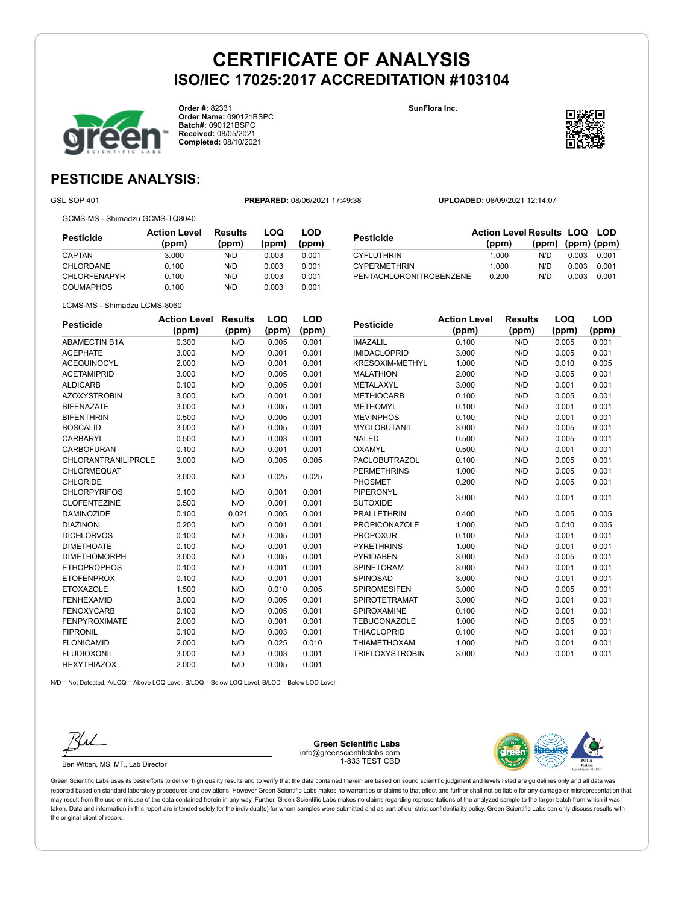

**Order #:** 82331 **Order Name:** 090121BSPC **Batch#:** 090121BSPC **Received:** 08/05/2021 **Completed:** 08/10/2021

**SunFlora Inc.**



**LOD**

## **PESTICIDE ANALYSIS:**

GSL SOP 401 **PREPARED:** 08/06/2021 17:49:38 **UPLOADED:** 08/09/2021 12:14:07

GCMS-MS - Shimadzu GCMS-TQ8040

| Pesticide           | <b>Action Level</b><br>(ppm) | Results<br>(ppm) | LOQ<br>(ppm) | LOD<br>(ppm) |
|---------------------|------------------------------|------------------|--------------|--------------|
| CAPTAN              | 3.000                        | N/D              | 0.003        | 0.001        |
| <b>CHLORDANE</b>    | 0.100                        | N/D              | 0.003        | 0.001        |
| <b>CHLORFENAPYR</b> | 0.100                        | N/D              | 0.003        | 0.001        |
| <b>COUMAPHOS</b>    | 0.100                        | N/D              | 0.003        | 0.001        |

| <b>Pesticide</b>        | <b>Action Level Results LOQ LOD</b> |                   |       |       |
|-------------------------|-------------------------------------|-------------------|-------|-------|
|                         | (ppm)                               | (ppm) (ppm) (ppm) |       |       |
| <b>CYFLUTHRIN</b>       | 1.000                               | N/D               | 0.003 | 0.001 |
| <b>CYPERMETHRIN</b>     | 1.000                               | N/D               | 0.003 | 0.001 |
| PENTACHLORONITROBENZENE | 0.200                               | N/D               | 0.003 | 0.001 |

| <b>Pesticide</b>           | <b>Action Level</b> | <b>Results</b> | LOQ   | <b>LOD</b> |
|----------------------------|---------------------|----------------|-------|------------|
|                            | (ppm)               | (ppm)          | (ppm) | (ppm)      |
| <b>ABAMECTIN B1A</b>       | 0.300               | N/D            | 0.005 | 0.001      |
| <b>ACEPHATE</b>            | 3.000               | N/D            | 0.001 | 0.001      |
| <b>ACEQUINOCYL</b>         | 2.000               | N/D            | 0.001 | 0.001      |
| <b>ACETAMIPRID</b>         | 3.000               | N/D            | 0.005 | 0.001      |
| <b>ALDICARB</b>            | 0.100               | N/D            | 0.005 | 0.001      |
| <b>AZOXYSTROBIN</b>        | 3.000               | N/D            | 0.001 | 0.001      |
| <b>BIFENAZATE</b>          | 3.000               | N/D            | 0.005 | 0.001      |
| <b>BIFENTHRIN</b>          | 0.500               | N/D            | 0.005 | 0.001      |
| <b>BOSCALID</b>            | 3.000               | N/D            | 0.005 | 0.001      |
| <b>CARBARYL</b>            | 0.500               | N/D            | 0.003 | 0.001      |
| CARBOFURAN                 | 0.100               | N/D            | 0.001 | 0.001      |
| <b>CHLORANTRANILIPROLE</b> | 3.000               | N/D            | 0.005 | 0.005      |
| CHLORMEQUAT                |                     |                |       |            |
| <b>CHLORIDE</b>            | 3.000               | N/D            | 0.025 | 0.025      |
| <b>CHLORPYRIFOS</b>        | 0.100               | N/D            | 0.001 | 0.001      |
| <b>CLOFENTEZINE</b>        | 0.500               | N/D            | 0.001 | 0.001      |
| <b>DAMINOZIDE</b>          | 0.100               | 0.021          | 0.005 | 0.001      |
| <b>DIAZINON</b>            | 0.200               | N/D            | 0.001 | 0.001      |
| <b>DICHLORVOS</b>          | 0.100               | N/D            | 0.005 | 0.001      |
| <b>DIMETHOATE</b>          | 0.100               | N/D            | 0.001 | 0.001      |
| <b>DIMETHOMORPH</b>        | 3.000               | N/D            | 0.005 | 0.001      |
| <b>ETHOPROPHOS</b>         | 0.100               | N/D            | 0.001 | 0.001      |
| <b>ETOFENPROX</b>          | 0.100               | N/D            | 0.001 | 0.001      |
| <b>ETOXAZOLE</b>           | 1.500               | N/D            | 0.010 | 0.005      |
| <b>FENHEXAMID</b>          | 3.000               | N/D            | 0.005 | 0.001      |
| <b>FENOXYCARB</b>          | 0.100               | N/D            | 0.005 | 0.001      |
| <b>FENPYROXIMATE</b>       | 2.000               | N/D            | 0.001 | 0.001      |
| <b>FIPRONIL</b>            | 0.100               | N/D            | 0.003 | 0.001      |
| <b>FLONICAMID</b>          | 2.000               | N/D            | 0.025 | 0.010      |
| <b>FLUDIOXONIL</b>         | 3.000               | N/D            | 0.003 | 0.001      |
| <b>HEXYTHIAZOX</b>         | 2.000               | N/D            | 0.005 | 0.001      |

| <b>Pesticide</b>       | <b>Action Level</b> | <b>Results</b> | LOQ   | LOD   |
|------------------------|---------------------|----------------|-------|-------|
|                        | (ppm)               | (ppm)          | (ppm) | (ppm) |
| <b>IMAZALIL</b>        | 0.100               | N/D            | 0.005 | 0.001 |
| <b>IMIDACLOPRID</b>    | 3.000               | N/D            | 0.005 | 0.001 |
| <b>KRESOXIM-METHYL</b> | 1.000               | N/D            | 0.010 | 0.005 |
| <b>MALATHION</b>       | 2.000               | N/D            | 0.005 | 0.001 |
| <b>METALAXYL</b>       | 3.000               | N/D            | 0.001 | 0.001 |
| <b>METHIOCARB</b>      | 0.100               | N/D            | 0.005 | 0.001 |
| <b>METHOMYL</b>        | 0.100               | N/D            | 0.001 | 0.001 |
| <b>MEVINPHOS</b>       | 0.100               | N/D            | 0.001 | 0.001 |
| <b>MYCLOBUTANIL</b>    | 3.000               | N/D            | 0.005 | 0.001 |
| <b>NALED</b>           | 0.500               | N/D            | 0.005 | 0.001 |
| <b>OXAMYL</b>          | 0.500               | N/D            | 0.001 | 0.001 |
| <b>PACLOBUTRAZOL</b>   | 0.100               | N/D            | 0.005 | 0.001 |
| <b>PERMETHRINS</b>     | 1.000               | N/D            | 0.005 | 0.001 |
| PHOSMET                | 0.200               | N/D            | 0.005 | 0.001 |
| <b>PIPERONYL</b>       |                     |                |       |       |
| <b>BUTOXIDE</b>        | 3.000               | N/D            | 0.001 | 0.001 |
| <b>PRALLETHRIN</b>     | 0.400               | N/D            | 0.005 | 0.005 |
| <b>PROPICONAZOLE</b>   | 1.000               | N/D            | 0.010 | 0.005 |
| <b>PROPOXUR</b>        | 0.100               | N/D            | 0.001 | 0.001 |
| <b>PYRETHRINS</b>      | 1.000               | N/D            | 0.001 | 0.001 |
| <b>PYRIDABEN</b>       | 3.000               | N/D            | 0.005 | 0.001 |
| <b>SPINETORAM</b>      | 3.000               | N/D            | 0.001 | 0.001 |
| SPINOSAD               | 3.000               | N/D            | 0.001 | 0.001 |
| <b>SPIROMESIFEN</b>    | 3.000               | N/D            | 0.005 | 0.001 |
| <b>SPIROTETRAMAT</b>   | 3.000               | N/D            | 0.001 | 0.001 |
| SPIROXAMINE            | 0.100               | N/D            | 0.001 | 0.001 |
| <b>TEBUCONAZOLE</b>    | 1.000               | N/D            | 0.005 | 0.001 |
| <b>THIACLOPRID</b>     | 0.100               | N/D            | 0.001 | 0.001 |
| <b>THIAMETHOXAM</b>    | 1.000               | N/D            | 0.001 | 0.001 |
| <b>TRIFLOXYSTROBIN</b> | 3.000               | N/D            | 0.001 | 0.001 |

N/D = Not Detected, A/LOQ = Above LOQ Level, B/LOQ = Below LOQ Level, B/LOD = Below LOD Level



Ben Witten, MS, MT., Lab Director

**Green Scientific Labs** info@greenscientificlabs.com 1-833 TEST CBD

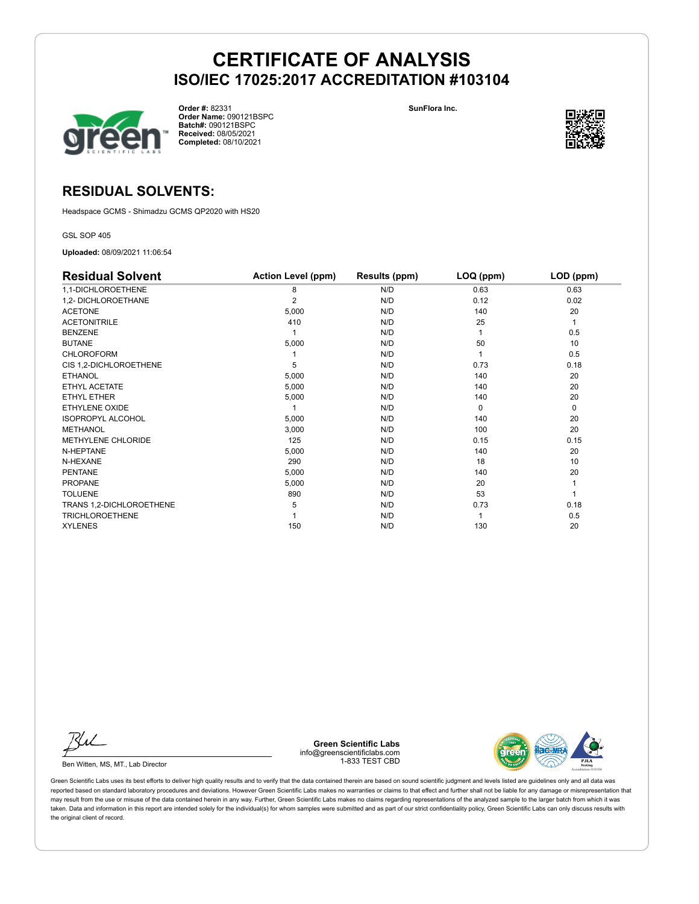

**Order #:** 82331 **Order Name:** 090121BSPC **Batch#:** 090121BSPC **Received:** 08/05/2021 **Completed:** 08/10/2021

**SunFlora Inc.**



### **RESIDUAL SOLVENTS:**

Headspace GCMS - Shimadzu GCMS QP2020 with HS20

GSL SOP 405

**Uploaded:** 08/09/2021 11:06:54

| <b>Residual Solvent</b>  | <b>Action Level (ppm)</b> | Results (ppm) | LOQ (ppm) | LOD (ppm) |
|--------------------------|---------------------------|---------------|-----------|-----------|
| 1,1-DICHLOROETHENE       | 8                         | N/D           | 0.63      | 0.63      |
| 1,2- DICHLOROETHANE      | 2                         | N/D           | 0.12      | 0.02      |
| <b>ACETONE</b>           | 5,000                     | N/D           | 140       | 20        |
| <b>ACETONITRILE</b>      | 410                       | N/D           | 25        | 1         |
| <b>BENZENE</b>           |                           | N/D           |           | 0.5       |
| <b>BUTANE</b>            | 5,000                     | N/D           | 50        | 10        |
| <b>CHLOROFORM</b>        |                           | N/D           |           | 0.5       |
| CIS 1,2-DICHLOROETHENE   | 5                         | N/D           | 0.73      | 0.18      |
| <b>ETHANOL</b>           | 5,000                     | N/D           | 140       | 20        |
| ETHYL ACETATE            | 5,000                     | N/D           | 140       | 20        |
| ETHYL ETHER              | 5,000                     | N/D           | 140       | 20        |
| ETHYLENE OXIDE           |                           | N/D           | $\Omega$  | 0         |
| <b>ISOPROPYL ALCOHOL</b> | 5,000                     | N/D           | 140       | 20        |
| <b>METHANOL</b>          | 3,000                     | N/D           | 100       | 20        |
| METHYLENE CHLORIDE       | 125                       | N/D           | 0.15      | 0.15      |
| N-HEPTANE                | 5,000                     | N/D           | 140       | 20        |
| N-HEXANE                 | 290                       | N/D           | 18        | 10        |
| <b>PENTANE</b>           | 5,000                     | N/D           | 140       | 20        |
| <b>PROPANE</b>           | 5,000                     | N/D           | 20        |           |
| <b>TOLUENE</b>           | 890                       | N/D           | 53        |           |
| TRANS 1,2-DICHLOROETHENE | 5                         | N/D           | 0.73      | 0.18      |
| <b>TRICHLOROETHENE</b>   |                           | N/D           |           | 0.5       |
| <b>XYLENES</b>           | 150                       | N/D           | 130       | 20        |

Ku

Ben Witten, MS, MT., Lab Director

**Green Scientific Labs** info@greenscientificlabs.com 1-833 TEST CBD

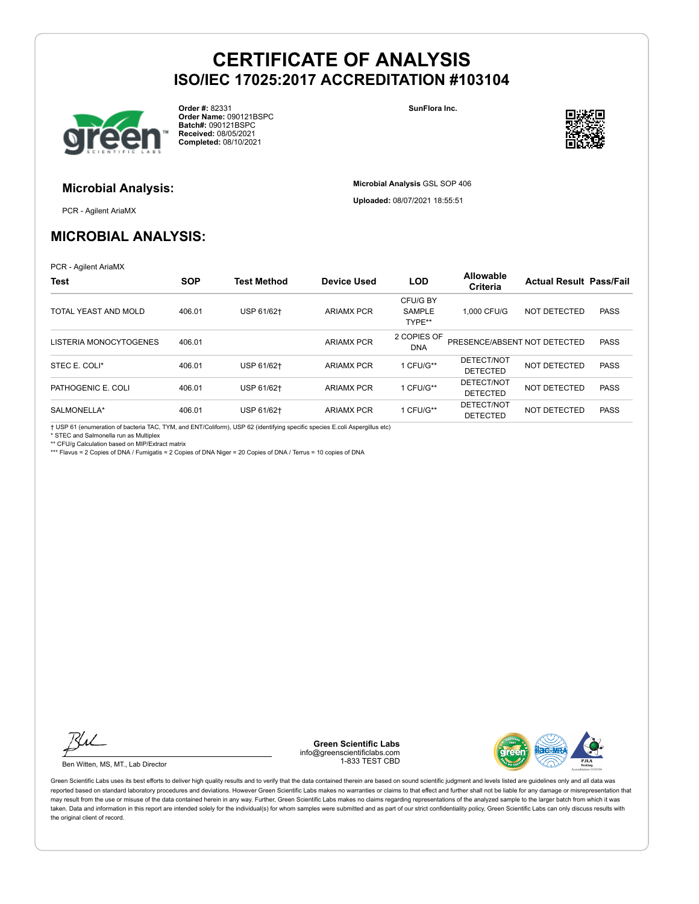

**Order #:** 82331 **Order Name:** 090121BSPC **Batch#:** 090121BSPC **Received:** 08/05/2021 **Completed:** 08/10/2021

**SunFlora Inc.**

**Microbial Analysis** GSL SOP 406 **Uploaded:** 08/07/2021 18:55:51



## **Microbial Analysis:**

PCR - Agilent AriaMX

## **MICROBIAL ANALYSIS:**

PCR - Agilent AriaMX

| <b>Test</b>            | <b>SOP</b> | <b>Test Method</b> | <b>Device Used</b> | <b>LOD</b>                          | Allowable<br>Criteria         | <b>Actual Result Pass/Fail</b> |             |
|------------------------|------------|--------------------|--------------------|-------------------------------------|-------------------------------|--------------------------------|-------------|
| TOTAL YEAST AND MOLD   | 406.01     | USP 61/62+         | <b>ARIAMX PCR</b>  | CFU/G BY<br><b>SAMPLE</b><br>TYPE** | 1.000 CFU/G                   | <b>NOT DETECTED</b>            | <b>PASS</b> |
| LISTERIA MONOCYTOGENES | 406.01     |                    | <b>ARIAMX PCR</b>  | 2 COPIES OF<br><b>DNA</b>           | PRESENCE/ABSENT NOT DETECTED  |                                | <b>PASS</b> |
| STEC E. COLI*          | 406.01     | USP 61/62+         | <b>ARIAMX PCR</b>  | 1 CFU/G**                           | DETECT/NOT<br><b>DETECTED</b> | NOT DETECTED                   | <b>PASS</b> |
| PATHOGENIC E. COLI     | 406.01     | USP 61/62+         | <b>ARIAMX PCR</b>  | 1 CFU/G**                           | DETECT/NOT<br><b>DETECTED</b> | NOT DETECTED                   | <b>PASS</b> |
| SALMONELLA*            | 406.01     | USP 61/62+         | <b>ARIAMX PCR</b>  | 1 CFU/G**                           | DETECT/NOT<br><b>DETECTED</b> | NOT DETECTED                   | <b>PASS</b> |

† USP 61 (enumeration of bacteria TAC, TYM, and ENT/Coliform), USP 62 (identifying specific species E.coli Aspergillus etc)

\* STEC and Salmonella run as Multiplex

\*\* CFU/g Calculation based on MIP/Extract matrix

\*\*\* Flavus = 2 Copies of DNA / Fumigatis = 2 Copies of DNA Niger = 20 Copies of DNA / Terrus = 10 copies of DNA



Ben Witten, MS, MT., Lab Director

**Green Scientific Labs** info@greenscientificlabs.com 1-833 TEST CBD